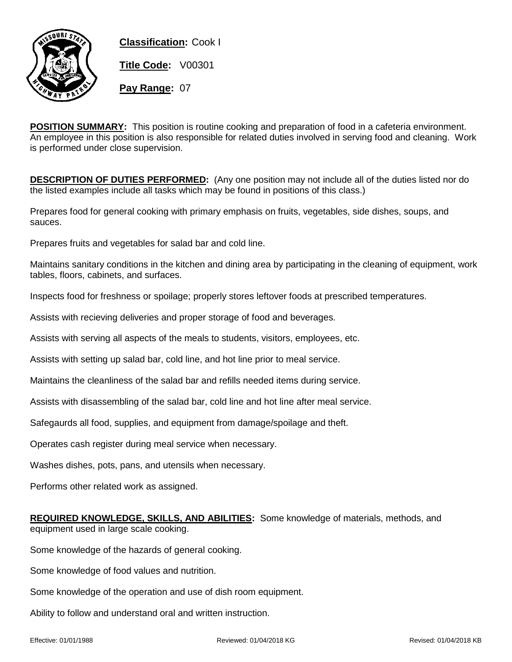

**Classification:** Cook I **Title Code:** V00301 **Pay Range:** 07

**POSITION SUMMARY:** This position is routine cooking and preparation of food in a cafeteria environment. An employee in this position is also responsible for related duties involved in serving food and cleaning. Work is performed under close supervision.

**DESCRIPTION OF DUTIES PERFORMED:** (Any one position may not include all of the duties listed nor do the listed examples include all tasks which may be found in positions of this class.)

Prepares food for general cooking with primary emphasis on fruits, vegetables, side dishes, soups, and sauces.

Prepares fruits and vegetables for salad bar and cold line.

Maintains sanitary conditions in the kitchen and dining area by participating in the cleaning of equipment, work tables, floors, cabinets, and surfaces.

Inspects food for freshness or spoilage; properly stores leftover foods at prescribed temperatures.

Assists with recieving deliveries and proper storage of food and beverages.

Assists with serving all aspects of the meals to students, visitors, employees, etc.

Assists with setting up salad bar, cold line, and hot line prior to meal service.

Maintains the cleanliness of the salad bar and refills needed items during service.

Assists with disassembling of the salad bar, cold line and hot line after meal service.

Safegaurds all food, supplies, and equipment from damage/spoilage and theft.

Operates cash register during meal service when necessary.

Washes dishes, pots, pans, and utensils when necessary.

Performs other related work as assigned.

**REQUIRED KNOWLEDGE, SKILLS, AND ABILITIES:** Some knowledge of materials, methods, and equipment used in large scale cooking.

Some knowledge of the hazards of general cooking.

Some knowledge of food values and nutrition.

Some knowledge of the operation and use of dish room equipment.

Ability to follow and understand oral and written instruction.